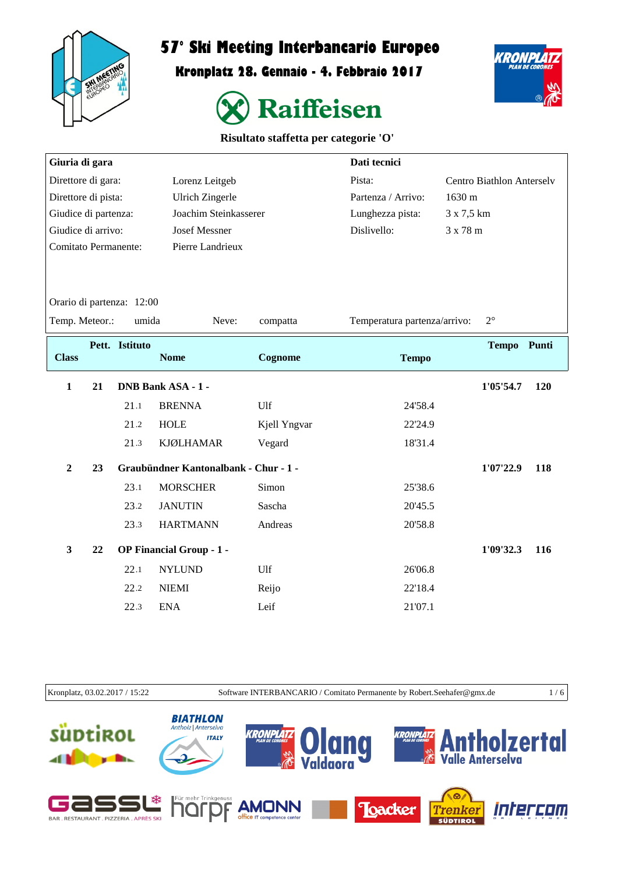

## **57° Ski Meeting Interbancario Europeo**

**Kronplatz 28. Gennaio - 4. Febbraio 2017**



KRONPLA

| Risultato staffetta per categorie 'O' |  |  |
|---------------------------------------|--|--|
|---------------------------------------|--|--|

| Giuria di gara              |    |                           |                                       |              | Dati tecnici                 |                                  |
|-----------------------------|----|---------------------------|---------------------------------------|--------------|------------------------------|----------------------------------|
| Direttore di gara:          |    |                           | Lorenz Leitgeb                        |              | Pista:                       | <b>Centro Biathlon Anterselv</b> |
| Direttore di pista:         |    |                           | <b>Ulrich Zingerle</b>                |              | Partenza / Arrivo:           | 1630 m                           |
| Giudice di partenza:        |    |                           | Joachim Steinkasserer                 |              | Lunghezza pista:             | 3 x 7,5 km                       |
| Giudice di arrivo:          |    |                           | <b>Josef Messner</b>                  |              | Dislivello:                  | 3 x 78 m                         |
| <b>Comitato Permanente:</b> |    |                           | Pierre Landrieux                      |              |                              |                                  |
|                             |    |                           |                                       |              |                              |                                  |
|                             |    |                           |                                       |              |                              |                                  |
|                             |    | Orario di partenza: 12:00 |                                       |              |                              |                                  |
| Temp. Meteor.:              |    | umida                     | Neve:                                 | compatta     | Temperatura partenza/arrivo: | $2^{\circ}$                      |
|                             |    | Pett. Istituto            |                                       |              |                              | Tempo Punti                      |
| <b>Class</b>                |    |                           | <b>Nome</b>                           | Cognome      | <b>Tempo</b>                 |                                  |
| $\mathbf{1}$                | 21 |                           | <b>DNB Bank ASA - 1 -</b>             |              |                              | 1'05'54.7<br>120                 |
|                             |    | 21.1                      | <b>BRENNA</b>                         | Ulf          | 24'58.4                      |                                  |
|                             |    | 21.2                      | <b>HOLE</b>                           | Kjell Yngvar | 22'24.9                      |                                  |
|                             |    | 21.3                      | <b>KJØLHAMAR</b>                      | Vegard       | 18'31.4                      |                                  |
| $\overline{2}$              | 23 |                           | Graubündner Kantonalbank - Chur - 1 - |              |                              | 1'07'22.9<br>118                 |
|                             |    | 23.1                      | <b>MORSCHER</b>                       | Simon        | 25'38.6                      |                                  |
|                             |    | 23.2                      | <b>JANUTIN</b>                        | Sascha       | 20'45.5                      |                                  |
|                             |    | 23.3                      | <b>HARTMANN</b>                       | Andreas      | 20'58.8                      |                                  |
| $\mathbf{3}$                | 22 |                           | OP Financial Group - 1 -              |              |                              | 1'09'32.3<br>116                 |
|                             |    | 22.1                      | <b>NYLUND</b>                         | Ulf          | 26'06.8                      |                                  |
|                             |    | 22.2                      | <b>NIEMI</b>                          | Reijo        | 22'18.4                      |                                  |
|                             |    | 22.3                      | <b>ENA</b>                            | Leif         | 21'07.1                      |                                  |
|                             |    |                           |                                       |              |                              |                                  |

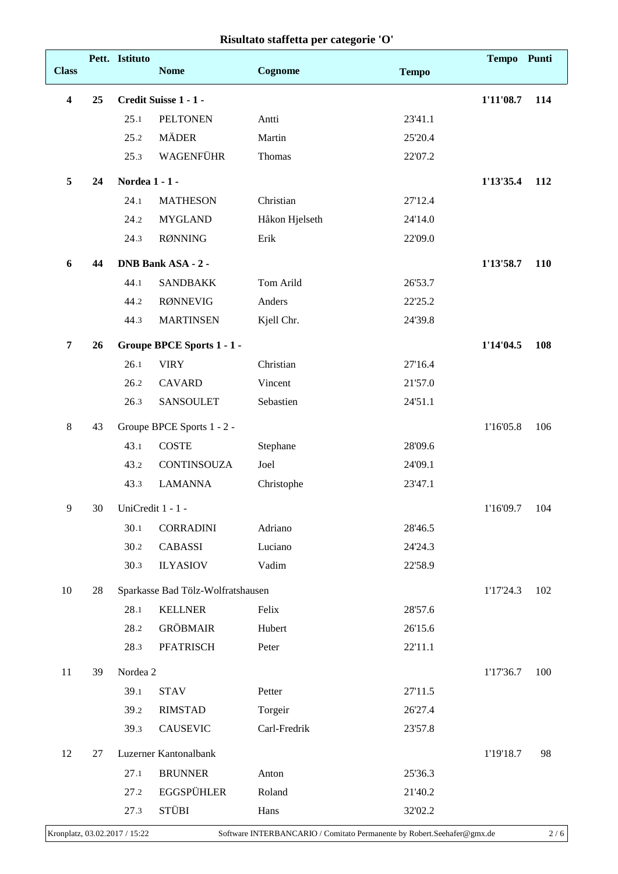## **Risultato staffetta per categorie 'O'**

| <b>Class</b>            |    | Pett. Istituto    | <b>Nome</b>                       | Cognome        | <b>Tempo</b> | Tempo Punti |     |
|-------------------------|----|-------------------|-----------------------------------|----------------|--------------|-------------|-----|
| $\overline{\mathbf{4}}$ | 25 |                   | Credit Suisse 1 - 1 -             |                |              | 1'11'08.7   | 114 |
|                         |    | 25.1              | <b>PELTONEN</b>                   | Antti          | 23'41.1      |             |     |
|                         |    | 25.2              | <b>MÄDER</b>                      | Martin         | 25'20.4      |             |     |
|                         |    | 25.3              | WAGENFÜHR                         | Thomas         | 22'07.2      |             |     |
| 5                       | 24 | Nordea 1 - 1 -    |                                   |                |              | 1'13'35.4   | 112 |
|                         |    | 24.1              | <b>MATHESON</b>                   | Christian      | 27'12.4      |             |     |
|                         |    | 24.2              | <b>MYGLAND</b>                    | Håkon Hjelseth | 24'14.0      |             |     |
|                         |    | 24.3              | <b>RØNNING</b>                    | Erik           | 22'09.0      |             |     |
| 6                       | 44 |                   | <b>DNB Bank ASA - 2 -</b>         |                |              | 1'13'58.7   | 110 |
|                         |    | 44.1              | <b>SANDBAKK</b>                   | Tom Arild      | 26'53.7      |             |     |
|                         |    | 44.2              | <b>RØNNEVIG</b>                   | Anders         | 22'25.2      |             |     |
|                         |    | 44.3              | <b>MARTINSEN</b>                  | Kjell Chr.     | 24'39.8      |             |     |
| 7                       | 26 |                   | Groupe BPCE Sports 1 - 1 -        |                |              | 1'14'04.5   | 108 |
|                         |    | 26.1              | <b>VIRY</b>                       | Christian      | 27'16.4      |             |     |
|                         |    | 26.2              | <b>CAVARD</b>                     | Vincent        | 21'57.0      |             |     |
|                         |    | 26.3              | <b>SANSOULET</b>                  | Sebastien      | 24'51.1      |             |     |
| $\,8\,$                 | 43 |                   | Groupe BPCE Sports 1 - 2 -        |                |              | 1'16'05.8   | 106 |
|                         |    | 43.1              | <b>COSTE</b>                      | Stephane       | 28'09.6      |             |     |
|                         |    | 43.2              | CONTINSOUZA                       | Joel           | 24'09.1      |             |     |
|                         |    | 43.3              | <b>LAMANNA</b>                    | Christophe     | 23'47.1      |             |     |
| 9                       | 30 | UniCredit 1 - 1 - |                                   |                |              | 1'16'09.7   | 104 |
|                         |    | 30.1              | <b>CORRADINI</b>                  | Adriano        | 28'46.5      |             |     |
|                         |    | 30.2              | CABASSI                           | Luciano        | 24'24.3      |             |     |
|                         |    | 30.3              | <b>ILYASIOV</b>                   | Vadim          | 22'58.9      |             |     |
| 10                      | 28 |                   | Sparkasse Bad Tölz-Wolfratshausen |                |              | 1'17'24.3   | 102 |
|                         |    | 28.1              | <b>KELLNER</b>                    | Felix          | 28'57.6      |             |     |
|                         |    | 28.2              | <b>GRÖBMAIR</b>                   | Hubert         | 26'15.6      |             |     |
|                         |    | 28.3              | PFATRISCH                         | Peter          | 22'11.1      |             |     |
| 11                      | 39 | Nordea 2          |                                   |                |              | 1'17'36.7   | 100 |
|                         |    | 39.1              | <b>STAV</b>                       | Petter         | 27'11.5      |             |     |
|                         |    | 39.2              | <b>RIMSTAD</b>                    | Torgeir        | 26'27.4      |             |     |
|                         |    | 39.3              | <b>CAUSEVIC</b>                   | Carl-Fredrik   | 23'57.8      |             |     |
| 12                      | 27 |                   | Luzerner Kantonalbank             |                |              | 1'19'18.7   | 98  |
|                         |    | 27.1              | <b>BRUNNER</b>                    | Anton          | 25'36.3      |             |     |
|                         |    | 27.2              | <b>EGGSPÜHLER</b>                 | Roland         | 21'40.2      |             |     |
|                         |    | 27.3              | <b>STÜBI</b>                      | Hans           | 32'02.2      |             |     |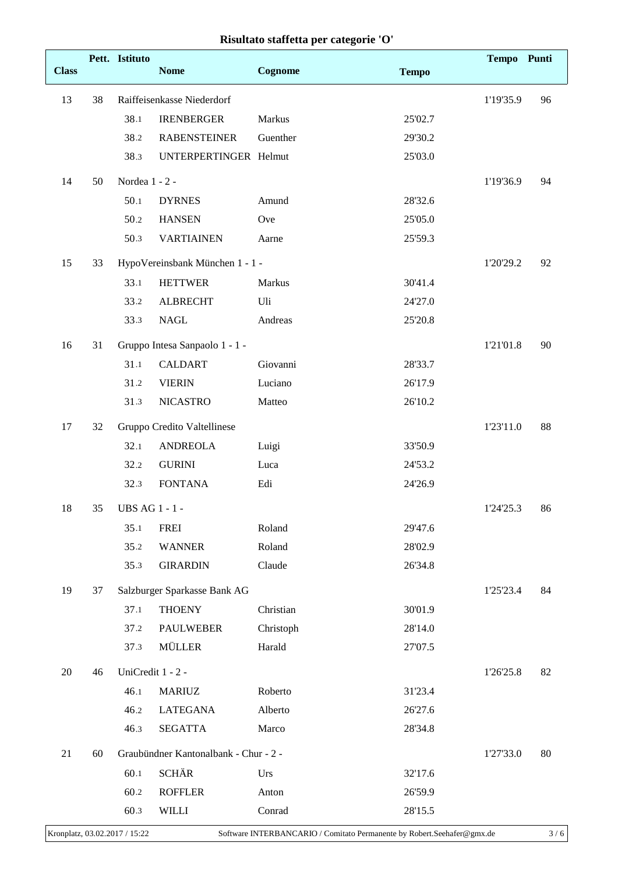|  |  |  | Risultato staffetta per categorie 'O' |  |
|--|--|--|---------------------------------------|--|
|--|--|--|---------------------------------------|--|

|              |    | Pett. Istituto    |                                       |           |              | Tempo Punti |    |
|--------------|----|-------------------|---------------------------------------|-----------|--------------|-------------|----|
| <b>Class</b> |    |                   | <b>Nome</b>                           | Cognome   | <b>Tempo</b> |             |    |
| 13           | 38 |                   | Raiffeisenkasse Niederdorf            |           |              | 1'19'35.9   | 96 |
|              |    | 38.1              | <b>IRENBERGER</b>                     | Markus    | 25'02.7      |             |    |
|              |    | 38.2              | <b>RABENSTEINER</b>                   | Guenther  | 29'30.2      |             |    |
|              |    | 38.3              | UNTERPERTINGER Helmut                 |           | 25'03.0      |             |    |
| 14           | 50 | Nordea $1 - 2 -$  |                                       |           |              | 1'19'36.9   | 94 |
|              |    | 50.1              | <b>DYRNES</b>                         | Amund     | 28'32.6      |             |    |
|              |    | 50.2              | <b>HANSEN</b>                         | Ove       | 25'05.0      |             |    |
|              |    | 50.3              | <b>VARTIAINEN</b>                     | Aarne     | 25'59.3      |             |    |
| 15           | 33 |                   | HypoVereinsbank München 1 - 1 -       |           |              | 1'20'29.2   | 92 |
|              |    | 33.1              | <b>HETTWER</b>                        | Markus    | 30'41.4      |             |    |
|              |    | 33.2              | <b>ALBRECHT</b>                       | Uli       | 24'27.0      |             |    |
|              |    | 33.3              | <b>NAGL</b>                           | Andreas   | 25'20.8      |             |    |
| 16           | 31 |                   | Gruppo Intesa Sanpaolo 1 - 1 -        |           |              | 1'21'01.8   | 90 |
|              |    | 31.1              | <b>CALDART</b>                        | Giovanni  | 28'33.7      |             |    |
|              |    | 31.2              | <b>VIERIN</b>                         | Luciano   | 26'17.9      |             |    |
|              |    | 31.3              | <b>NICASTRO</b>                       | Matteo    | 26'10.2      |             |    |
| 17           | 32 |                   | Gruppo Credito Valtellinese           |           |              | 1'23'11.0   | 88 |
|              |    | 32.1              | <b>ANDREOLA</b>                       | Luigi     | 33'50.9      |             |    |
|              |    | 32.2              | <b>GURINI</b>                         | Luca      | 24'53.2      |             |    |
|              |    | 32.3              | <b>FONTANA</b>                        | Edi       | 24'26.9      |             |    |
| 18           | 35 | UBS AG 1 - 1 -    |                                       |           |              | 1'24'25.3   | 86 |
|              |    | 35.1              | <b>FREI</b>                           | Roland    | 29'47.6      |             |    |
|              |    | 35.2              | <b>WANNER</b>                         | Roland    | 28'02.9      |             |    |
|              |    | 35.3              | <b>GIRARDIN</b>                       | Claude    | 26'34.8      |             |    |
| 19           | 37 |                   | Salzburger Sparkasse Bank AG          |           |              | 1'25'23.4   | 84 |
|              |    | 37.1              | <b>THOENY</b>                         | Christian | 30'01.9      |             |    |
|              |    | 37.2              | <b>PAULWEBER</b>                      | Christoph | 28'14.0      |             |    |
|              |    | 37.3              | <b>MÜLLER</b>                         | Harald    | 27'07.5      |             |    |
| 20           | 46 | UniCredit 1 - 2 - |                                       |           |              | 1'26'25.8   | 82 |
|              |    | 46.1              | <b>MARIUZ</b>                         | Roberto   | 31'23.4      |             |    |
|              |    | 46.2              | <b>LATEGANA</b>                       | Alberto   | 26'27.6      |             |    |
|              |    | 46.3              | <b>SEGATTA</b>                        | Marco     | 28'34.8      |             |    |
| 21           | 60 |                   | Graubündner Kantonalbank - Chur - 2 - |           |              | 1'27'33.0   | 80 |
|              |    | 60.1              | <b>SCHÄR</b>                          | Urs       | 32'17.6      |             |    |
|              |    | 60.2              | <b>ROFFLER</b>                        | Anton     | 26'59.9      |             |    |
|              |    | 60.3              | <b>WILLI</b>                          | Conrad    | 28'15.5      |             |    |
|              |    |                   |                                       |           |              |             |    |

 $\mathsf{I}$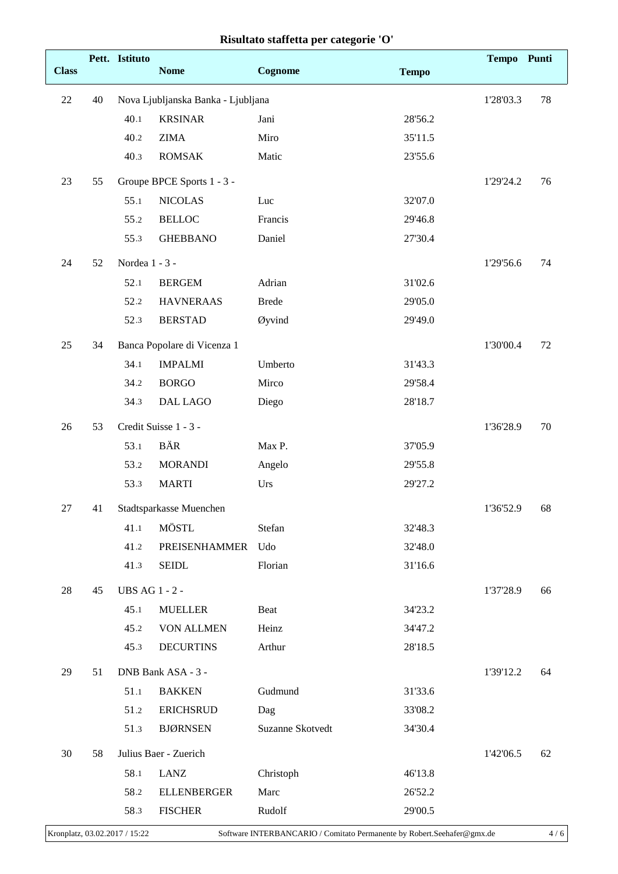|              |    | Pett. Istituto |                                    |                  |              | Tempo Punti |        |
|--------------|----|----------------|------------------------------------|------------------|--------------|-------------|--------|
| <b>Class</b> |    |                | <b>Nome</b>                        | Cognome          | <b>Tempo</b> |             |        |
| 22           | 40 |                | Nova Ljubljanska Banka - Ljubljana |                  |              | 1'28'03.3   | 78     |
|              |    | 40.1           | <b>KRSINAR</b>                     | Jani             | 28'56.2      |             |        |
|              |    | 40.2           | <b>ZIMA</b>                        | Miro             | 35'11.5      |             |        |
|              |    | 40.3           | <b>ROMSAK</b>                      | Matic            | 23'55.6      |             |        |
| 23           | 55 |                | Groupe BPCE Sports 1 - 3 -         |                  |              | 1'29'24.2   | 76     |
|              |    | 55.1           | <b>NICOLAS</b>                     | Luc              | 32'07.0      |             |        |
|              |    | 55.2           | <b>BELLOC</b>                      | Francis          | 29'46.8      |             |        |
|              |    | 55.3           | <b>GHEBBANO</b>                    | Daniel           | 27'30.4      |             |        |
| 24           | 52 | Nordea 1 - 3 - |                                    |                  |              | 1'29'56.6   | 74     |
|              |    | 52.1           | <b>BERGEM</b>                      | Adrian           | 31'02.6      |             |        |
|              |    | 52.2           | <b>HAVNERAAS</b>                   | <b>Brede</b>     | 29'05.0      |             |        |
|              |    | 52.3           | <b>BERSTAD</b>                     | Øyvind           | 29'49.0      |             |        |
| 25           | 34 |                | Banca Popolare di Vicenza 1        |                  |              | 1'30'00.4   | 72     |
|              |    | 34.1           | <b>IMPALMI</b>                     | Umberto          | 31'43.3      |             |        |
|              |    | 34.2           | <b>BORGO</b>                       | Mirco            | 29'58.4      |             |        |
|              |    | 34.3           | <b>DAL LAGO</b>                    | Diego            | 28'18.7      |             |        |
| 26           | 53 |                | Credit Suisse 1 - 3 -              |                  |              | 1'36'28.9   | $70\,$ |
|              |    | 53.1           | BÄR                                | Max P.           | 37'05.9      |             |        |
|              |    | 53.2           | <b>MORANDI</b>                     | Angelo           | 29'55.8      |             |        |
|              |    | 53.3           | <b>MARTI</b>                       | Urs              | 29'27.2      |             |        |
| 27           | 41 |                | Stadtsparkasse Muenchen            |                  |              | 1'36'52.9   | 68     |
|              |    | 41.1           | MÖSTL                              | Stefan           | 32'48.3      |             |        |
|              |    | 41.2           | PREISENHAMMER                      | Udo              | 32'48.0      |             |        |
|              |    | 41.3           | <b>SEIDL</b>                       | Florian          | 31'16.6      |             |        |
| 28           | 45 | UBS AG 1 - 2 - |                                    |                  |              | 1'37'28.9   | 66     |
|              |    | 45.1           | <b>MUELLER</b>                     | Beat             | 34'23.2      |             |        |
|              |    | 45.2           | <b>VON ALLMEN</b>                  | Heinz            | 34'47.2      |             |        |
|              |    | 45.3           | <b>DECURTINS</b>                   | Arthur           | 28'18.5      |             |        |
| 29           | 51 |                | DNB Bank ASA - 3 -                 |                  |              | 1'39'12.2   | 64     |
|              |    | 51.1           | <b>BAKKEN</b>                      | Gudmund          | 31'33.6      |             |        |
|              |    | 51.2           | <b>ERICHSRUD</b>                   | Dag              | 33'08.2      |             |        |
|              |    | 51.3           | <b>BJØRNSEN</b>                    | Suzanne Skotvedt | 34'30.4      |             |        |
| 30           | 58 |                | Julius Baer - Zuerich              |                  |              | 1'42'06.5   | 62     |
|              |    | 58.1           | LANZ                               | Christoph        | 46'13.8      |             |        |
|              |    | 58.2           | <b>ELLENBERGER</b>                 | Marc             | 26'52.2      |             |        |
|              |    | 58.3           | <b>FISCHER</b>                     | Rudolf           | 29'00.5      |             |        |

|  |  |  | Risultato staffetta per categorie 'O' |  |
|--|--|--|---------------------------------------|--|
|--|--|--|---------------------------------------|--|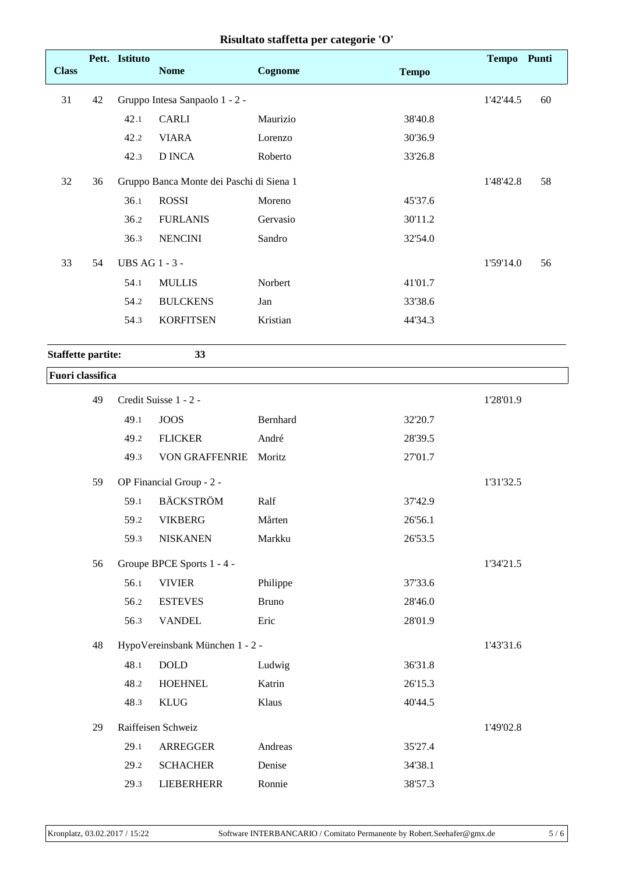|                           |    | Pett. Istituto        |                                          |              |              | Tempo Punti |    |
|---------------------------|----|-----------------------|------------------------------------------|--------------|--------------|-------------|----|
| <b>Class</b>              |    |                       | <b>Nome</b>                              | Cognome      | <b>Tempo</b> |             |    |
| 31                        | 42 |                       | Gruppo Intesa Sanpaolo 1 - 2 -           |              |              | 1'42'44.5   | 60 |
|                           |    | 42.1                  | <b>CARLI</b>                             | Maurizio     | 38'40.8      |             |    |
|                           |    | 42.2                  | <b>VIARA</b>                             | Lorenzo      | 30'36.9      |             |    |
|                           |    | 42.3                  | <b>D INCA</b>                            | Roberto      | 33'26.8      |             |    |
| 32                        | 36 |                       | Gruppo Banca Monte dei Paschi di Siena 1 |              |              | 1'48'42.8   | 58 |
|                           |    | 36.1                  | <b>ROSSI</b>                             | Moreno       | 45'37.6      |             |    |
|                           |    | 36.2                  | <b>FURLANIS</b>                          | Gervasio     | 30'11.2      |             |    |
|                           |    | 36.3                  | <b>NENCINI</b>                           | Sandro       | 32'54.0      |             |    |
| 33                        | 54 | <b>UBS AG 1 - 3 -</b> |                                          |              |              | 1'59'14.0   | 56 |
|                           |    | 54.1                  | <b>MULLIS</b>                            | Norbert      | 41'01.7      |             |    |
|                           |    | 54.2                  | <b>BULCKENS</b>                          | Jan          | 33'38.6      |             |    |
|                           |    | 54.3                  | <b>KORFITSEN</b>                         | Kristian     | 44'34.3      |             |    |
| <b>Staffette partite:</b> |    |                       | 33                                       |              |              |             |    |
| <b>Fuori</b> classifica   |    |                       |                                          |              |              |             |    |
|                           | 49 |                       | Credit Suisse 1 - 2 -                    |              |              | 1'28'01.9   |    |
|                           |    | 49.1                  | <b>JOOS</b>                              | Bernhard     | 32'20.7      |             |    |
|                           |    | 49.2                  | <b>FLICKER</b>                           | André        | 28'39.5      |             |    |
|                           |    | 49.3                  | <b>VON GRAFFENRIE</b>                    | Moritz       | 27'01.7      |             |    |
|                           | 59 |                       | OP Financial Group - 2 -                 |              |              | 1'31'32.5   |    |
|                           |    | 59.1                  | <b>BÄCKSTRÖM</b>                         | Ralf         | 37'42.9      |             |    |
|                           |    | 59.2                  | <b>VIKBERG</b>                           | Mårten       | 26'56.1      |             |    |
|                           |    | 59.3                  | <b>NISKANEN</b>                          | Markku       | 26'53.5      |             |    |
|                           | 56 |                       | Groupe BPCE Sports 1 - 4 -               |              |              | 1'34'21.5   |    |
|                           |    | 56.1                  | <b>VIVIER</b>                            | Philippe     | 37'33.6      |             |    |
|                           |    | 56.2                  | <b>ESTEVES</b>                           | <b>Bruno</b> | 28'46.0      |             |    |
|                           |    | 56.3                  | <b>VANDEL</b>                            | Eric         | 28'01.9      |             |    |
|                           | 48 |                       | HypoVereinsbank München 1 - 2 -          |              |              | 1'43'31.6   |    |
|                           |    | 48.1                  | $\rm DOLD$                               | Ludwig       | 36'31.8      |             |    |
|                           |    | 48.2                  | <b>HOEHNEL</b>                           | Katrin       | 26'15.3      |             |    |
|                           |    | 48.3                  | <b>KLUG</b>                              | Klaus        | 40'44.5      |             |    |
|                           | 29 |                       | Raiffeisen Schweiz                       |              |              | 1'49'02.8   |    |
|                           |    | 29.1                  | ARREGGER                                 | Andreas      | 35'27.4      |             |    |
|                           |    | 29.2                  | <b>SCHACHER</b>                          | Denise       | 34'38.1      |             |    |
|                           |    | 29.3                  | <b>LIEBERHERR</b>                        | Ronnie       | 38'57.3      |             |    |

## **Risultato staffetta per categorie 'O'**